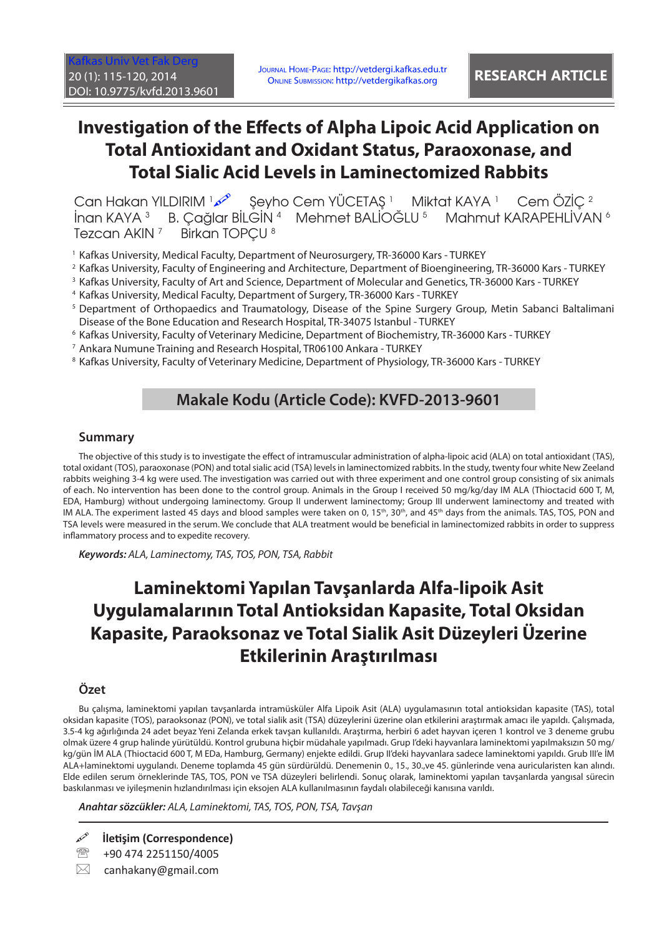[Kafkas Univ Vet Fak Derg](http://vetdergi.kafkas.edu.tr/) 20 (1): 115-120, 2014 DOI: 10.9775/kvfd.2013.9601

Journal Home-Page: http://vetdergi.kafkas.edu.tr Online Submission: http://vetdergikafkas.org **RESEARCH ARTICLE**

# **Investigation of the Effects of Alpha Lipoic Acid Application on Total Antioxidant and Oxidant Status, Paraoxonase, and Total Sialic Acid Levels in Laminectomized Rabbits**

Can Hakan YILDIRIM محمد - Şeyho Cem YÜCETAŞ 1 - Miktat KAYA 1 - Cem ÖZİÇ İnan KAYA <sup>3</sup> B. Çağlar BİLGİN <sup>4</sup> Mehmet BALİOĞLU <sup>5</sup> Mahmut KARAPEHLİVAN <sup>6</sup> Tezcan AKIN<sup>7</sup> Birkan TOPCU<sup>8</sup>

1 Kafkas University, Medical Faculty, Department of Neurosurgery, TR-36000 Kars - TURKEY

- 2 Kafkas University, Faculty of Engineering and Architecture, Department of Bioengineering, TR-36000 Kars TURKEY
- 3 Kafkas University, Faculty of Art and Science, Department of Molecular and Genetics, TR-36000 Kars TURKEY
- 4 Kafkas University, Medical Faculty, Department of Surgery, TR-36000 Kars TURKEY
- 5 Department of Orthopaedics and Traumatology, Disease of the Spine Surgery Group, Metin Sabanci Baltalimani Disease of the Bone Education and Research Hospital, TR-34075 Istanbul - TURKEY
- 6 Kafkas University, Faculty of Veterinary Medicine, Department of Biochemistry, TR-36000 Kars TURKEY
- 7 Ankara Numune Training and Research Hospital, TR06100 Ankara TURKEY
- $^{\rm 8}$  Kafkas University, Faculty of Veterinary Medicine, Department of Physiology, TR-36000 Kars TURKEY

## **Makale Kodu (Article Code): KVFD-2013-9601**

#### **Summary**

The objective of this study is to investigate the effect of intramuscular administration of alpha-lipoic acid (ALA) on total antioxidant (TAS), total oxidant (TOS), paraoxonase (PON) and total sialic acid (TSA) levels in laminectomized rabbits. In the study, twenty four white New Zeeland rabbits weighing 3-4 kg were used. The investigation was carried out with three experiment and one control group consisting of six animals of each. No intervention has been done to the control group. Animals in the Group I received 50 mg/kg/day IM ALA (Thioctacid 600 T, M, EDA, Hamburg) without undergoing laminectomy. Group II underwent laminectomy; Group III underwent laminectomy and treated with IM ALA. The experiment lasted 45 days and blood samples were taken on 0, 15<sup>th</sup>, 30<sup>th</sup>, and 45<sup>th</sup> days from the animals. TAS, TOS, PON and TSA levels were measured in the serum. We conclude that ALA treatment would be beneficial in laminectomized rabbits in order to suppress inflammatory process and to expedite recovery.

*Keywords: ALA, Laminectomy, TAS, TOS, PON, TSA, Rabbit*

# **Laminektomi Yapılan Tavşanlarda Alfa-lipoik Asit Uygulamalarının Total Antioksidan Kapasite, Total Oksidan Kapasite, Paraoksonaz ve Total Sialik Asit Düzeyleri Üzerine Etkilerinin Araştırılması**

### **Özet**

Bu çalışma, laminektomi yapılan tavşanlarda intramüsküler Alfa Lipoik Asit (ALA) uygulamasının total antioksidan kapasite (TAS), total oksidan kapasite (TOS), paraoksonaz (PON), ve total sialik asit (TSA) düzeylerini üzerine olan etkilerini araştırmak amacı ile yapıldı. Çalışmada, 3.5-4 kg ağırlığında 24 adet beyaz Yeni Zelanda erkek tavşan kullanıldı. Araştırma, herbiri 6 adet hayvan içeren 1 kontrol ve 3 deneme grubu olmak üzere 4 grup halinde yürütüldü. Kontrol grubuna hiçbir müdahale yapılmadı. Grup I'deki hayvanlara laminektomi yapılmaksızın 50 mg/ kg/gün İM ALA (Thioctacid 600 T, M EDa, Hamburg, Germany) enjekte edildi. Grup II'deki hayvanlara sadece laminektomi yapıldı. Grub III'e İM ALA+laminektomi uygulandı. Deneme toplamda 45 gün sürdürüldü. Denemenin 0., 15., 30.,ve 45. günlerinde vena auricularisten kan alındı. Elde edilen serum örneklerinde TAS, TOS, PON ve TSA düzeyleri belirlendi. Sonuç olarak, laminektomi yapılan tavşanlarda yangısal sürecin baskılanması ve iyileşmenin hızlandırılması için eksojen ALA kullanılmasının faydalı olabileceği kanısına varıldı.

*Anahtar sözcükler: ALA, Laminektomi, TAS, TOS, PON, TSA, Tavşan*

**İletişim (Correspondence)**

<sup>3</sup> +90 474 2251150/4005

 $\boxtimes$  canhakany@gmail.com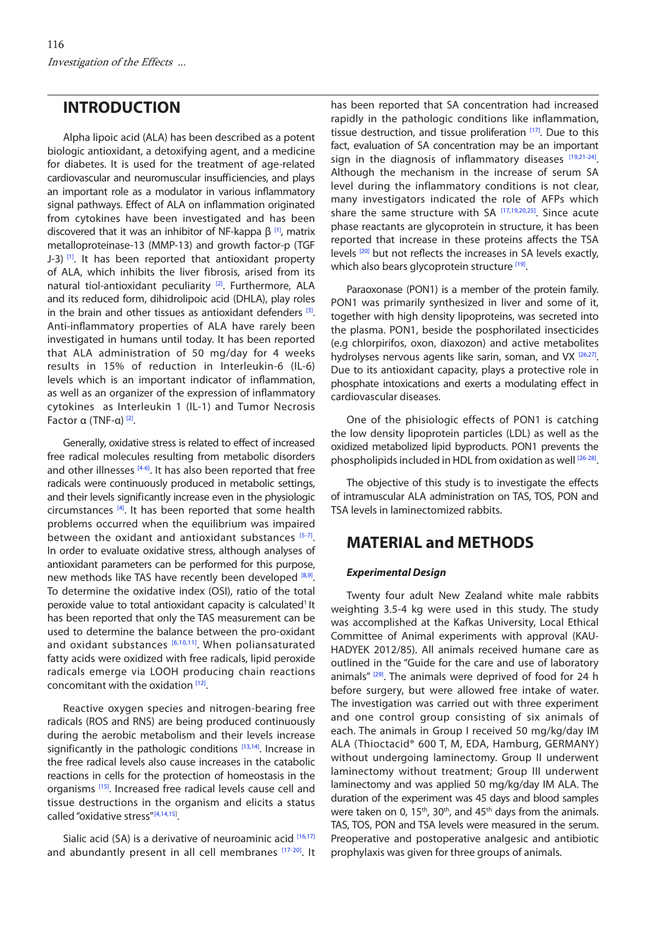## **INTRODUCTION**

Alpha lipoic acid (ALA) has been described as a potent biologic antioxidant, a detoxifying agent, and a medicine for diabetes. It is used for the treatment of age-related cardiovascular and neuromuscular insufficiencies, and plays an important role as a modulator in various inflammatory signal pathways. Effect of ALA on inflammation originated from cytokines have been investigated and has been discovered that it was an inhibitor of NF-kappa  $β$ <sup>[1]</sup>, matrix metalloproteinase-13 (MMP-13) and growth factor-p (TGF J-3) [1]. It has been reported that antioxidant property of ALA, which inhibits the liver fibrosis, arised from its natural tiol-antioxidant peculiarity<sup>[2]</sup>. Furthermore, ALA and its reduced form, dihidrolipoic acid (DHLA), play roles in the brain and other tissues as antioxidant defenders  $[3]$ . Anti-inflammatory properties of ALA have rarely been investigated in humans until today. It has been reported that ALA administration of 50 mg/day for 4 weeks results in 15% of reduction in Interleukin-6 (IL-6) levels which is an important indicator of inflammation, as well as an organizer of the expression of inflammatory cytokines as Interleukin 1 (IL-1) and Tumor Necrosis Factor α (TNF-α) [\[2\].](#page-4-0)

Generally, oxidative stress is related to effect of increased free radical molecules resulting from metabolic disorders and other illnesses  $[4-6]$ . It has also been reported that free radicals were continuously produced in metabolic settings, and their levels significantly increase even in the physiologic circumstances  $[4]$ . It has been reported that some health problems occurred when the equilibrium was impaired between the oxidant and antioxidant substance[s \[5-7\].](#page-4-0) In order to evaluate oxidative stress, although analyses of antioxidant parameters can be performed for this purpose, new methods like TAS have recently been developed [\[8,9\].](#page-4-0) To determine the oxidative index (OSI), ratio of the total peroxide value to total antioxidant capacity is calculated<sup>1</sup> It has been reported that only the TAS measurement can be used to determine the balance between the pro-oxidant and oxidant substances  $[6,10,11]$ . When poliansaturated fatty acids were oxidized with free radicals, lipid peroxide radicals emerge via LOOH producing chain reactions concomitant with the oxidation [\[12\].](#page-4-0)

Reactive oxygen species and nitrogen-bearing free radicals (ROS and RNS) are being produced continuously during the aerobic metabolism and their levels increase significantly in the pathologic conditions [\[13,14\]](#page-4-0). Increase in the free radical levels also cause increases in the catabolic reactions in cells for the protection of homeostasis in the organisms [\[15\].](#page-4-0) Increased free radical levels cause cell and tissue destructions in the organism and elicits a status called "oxidative stress"<sup>[\[4](#page-4-0),[14,15\]](#page-4-0)</sup>.

Sialic acid (SA) is a derivative of neuroaminic acid [\[16,17\]](#page-4-0) and abundantly present in all cell membranes [\[17-20\].](#page-4-0) It has been reported that SA concentration had increased rapidly in the pathologic conditions like inflammation, tissue destruction, and tissue proliferation  $[17]$ . Due to this fact, evaluation of SA concentration may be an important sign in the diagnosis of inflammatory diseases  $[19,21-24]$  $[19,21-24]$ . Although the mechanism in the increase of serum SA level during the inflammatory conditions is not clear, many investigators indicated the role of AFPs which share the same structure with SA [\[17,19,20,](#page-4-0)[25\]](#page-5-0). Since acute phase reactants are glycoprotein in structure, it has been reported that increase in these proteins affects the TSA levels <sup>[\[20\]](#page-4-0)</sup> but not reflects the increases in SA levels exactly, which also bears glycoprotein structure [19].

Paraoxonase (PON1) is a member of the protein family. PON1 was primarily synthesized in liver and some of it, together with high density lipoproteins, was secreted into the plasma. PON1, beside the posphorilated insecticides (e.g chlorpirifos, oxon, diaxozon) and active metabolites hydrolyses nervous agents like sarin, soman, and VX [\[26,27\].](#page-5-0) Due to its antioxidant capacity, plays a protective role in phosphate intoxications and exerts a modulating effect in cardiovascular diseases.

One of the phisiologic effects of PON1 is catching the low density lipoprotein particles (LDL) as well as the oxidized metabolized lipid byproducts. PON1 prevents the phospholipids included in HDL from oxidation as well [\[26-28\].](#page-5-0)

The objective of this study is to investigate the effects of intramuscular ALA administration on TAS, TOS, PON and TSA levels in laminectomized rabbits.

# **MATERIAL and METHODS**

#### *Experimental Design*

Twenty four adult New Zealand white male rabbits weighting 3.5-4 kg were used in this study. The study was accomplished at the Kafkas University, Local Ethical Committee of Animal experiments with approval (KAU-HADYEK 2012/85). All animals received humane care as outlined in the "Guide for the care and use of laboratory animals"  $[29]$ . The animals were deprived of food for 24 h before surgery, but were allowed free intake of water. The investigation was carried out with three experiment and one control group consisting of six animals of each. The animals in Group I received 50 mg/kg/day IM ALA (Thioctacid® 600 T, M, EDA, Hamburg, GERMANY) without undergoing laminectomy. Group II underwent laminectomy without treatment; Group III underwent laminectomy and was applied 50 mg/kg/day IM ALA. The duration of the experiment was 45 days and blood samples were taken on 0,  $15<sup>th</sup>$ , 30<sup>th</sup>, and  $45<sup>th</sup>$  days from the animals. TAS, TOS, PON and TSA levels were measured in the serum. Preoperative and postoperative analgesic and antibiotic prophylaxis was given for three groups of animals.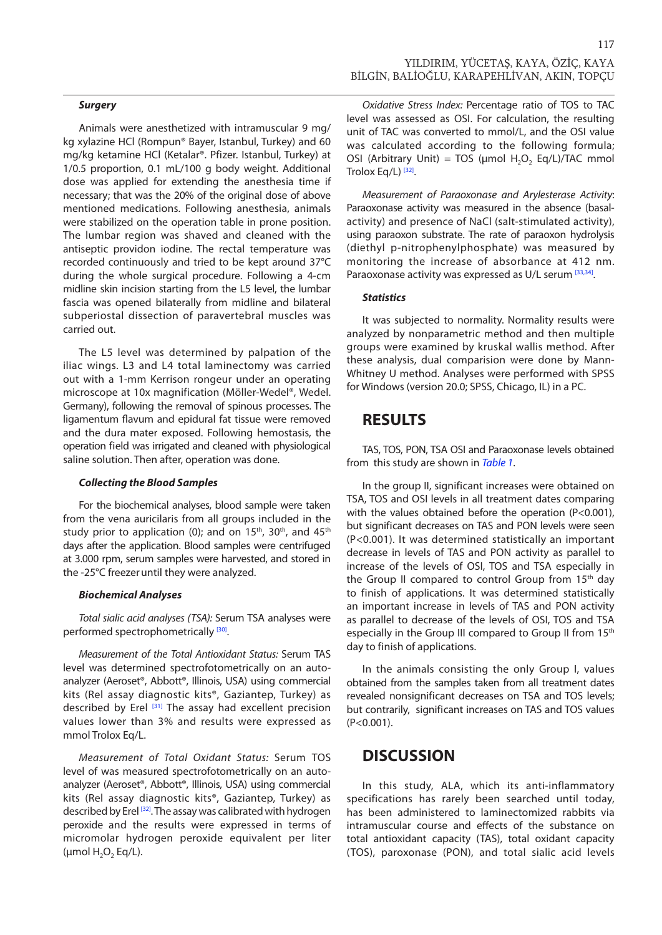Animals were anesthetized with intramuscular 9 mg/ kg xylazine HCl (Rompun® Bayer, Istanbul, Turkey) and 60 mg/kg ketamine HCl (Ketalar®. Pfizer. Istanbul, Turkey) at 1/0.5 proportion, 0.1 mL/100 g body weight. Additional dose was applied for extending the anesthesia time if necessary; that was the 20% of the original dose of above mentioned medications. Following anesthesia, animals were stabilized on the operation table in prone position. The lumbar region was shaved and cleaned with the antiseptic providon iodine. The rectal temperature was recorded continuously and tried to be kept around 37°C during the whole surgical procedure. Following a 4-cm midline skin incision starting from the L5 level, the lumbar fascia was opened bilaterally from midline and bilateral subperiostal dissection of paravertebral muscles was carried out.

The L5 level was determined by palpation of the iliac wings. L3 and L4 total laminectomy was carried out with a 1-mm Kerrison rongeur under an operating microscope at 10x magnification (Möller-Wedel®, Wedel. Germany), following the removal of spinous processes. The ligamentum flavum and epidural fat tissue were removed and the dura mater exposed. Following hemostasis, the operation field was irrigated and cleaned with physiological saline solution. Then after, operation was done.

#### *Collecting the Blood Samples*

For the biochemical analyses, blood sample were taken from the vena auricilaris from all groups included in the study prior to application (0); and on  $15<sup>th</sup>$ , 30<sup>th</sup>, and  $45<sup>th</sup>$ days after the application. Blood samples were centrifuged at 3.000 rpm, serum samples were harvested, and stored in the -25°C freezeruntil they were analyzed.

#### *Biochemical Analyses*

*Total sialic acid analyses (TSA):* Serum TSA analyses were performed spectrophometrically <sup>[\[30\]](#page-5-0)</sup>.

*Measurement of the Total Antioxidant Status:* Serum TAS level was determined spectrofotometrically on an autoanalyzer (Aeroset®, Abbott®, Illinois, USA) using commercial kits (Rel assay diagnostic kits®, Gaziantep, Turkey) as described by Erel [\[31\] T](#page-5-0)he assay had excellent precision values lower than 3% and results were expressed as mmol Trolox Eq/L.

*Measurement of Total Oxidant Status:* Serum TOS level of was measured spectrofotometrically on an autoanalyzer (Aeroset®, Abbott®, Illinois, USA) using commercial kits (Rel assay diagnostic kits®, Gaziantep, Turkey) as described by Erel [\[32\].](#page-5-0) The assay was calibrated with hydrogen peroxide and the results were expressed in terms of micromolar hydrogen peroxide equivalent per liter ( $\mu$ mol H<sub>2</sub>O<sub>2</sub> Eq/L).

117

*Oxidative Stress Index:* Percentage ratio of TOS to TAC level was assessed as OSI. For calculation, the resulting unit of TAC was converted to mmol/L, and the OSI value was calculated according to the following formula; OSI (Arbitrary Unit) = TOS ( $\mu$ mol H<sub>2</sub>O<sub>2</sub> Eq/L)/TAC mmol Trolox Eq/L)<sup>[32]</sup>.

*Measurement of Paraoxonase and Arylesterase Activity*: Paraoxonase activity was measured in the absence (basalactivity) and presence of NaCl (salt-stimulated activity), using paraoxon substrate. The rate of paraoxon hydrolysis (diethyl p-nitrophenylphosphate) was measured by monitoring the increase of absorbance at 412 nm. Paraoxonase activity was expressed as U/L serum [\[33,34\].](#page-5-0)

#### *Statistics*

It was subjected to normality. Normality results were analyzed by nonparametric method and then multiple groups were examined by kruskal wallis method. After these analysis, dual comparision were done by Mann-Whitney U method. Analyses were performed with SPSS for Windows (version 20.0; SPSS, Chicago, IL) in a PC.

### **RESULTS**

TAS, TOS, PON, TSA OSI and Paraoxonase levels obtained from this study are shown in *[Table 1](#page-3-0)*.

In the group II, significant increases were obtained on TSA, TOS and OSI levels in all treatment dates comparing with the values obtained before the operation (P<0.001), but significant decreases on TAS and PON levels were seen (P<0.001). It was determined statistically an important decrease in levels of TAS and PON activity as parallel to increase of the levels of OSI, TOS and TSA especially in the Group II compared to control Group from 15<sup>th</sup> day to finish of applications. It was determined statistically an important increase in levels of TAS and PON activity as parallel to decrease of the levels of OSI, TOS and TSA especially in the Group III compared to Group II from 15<sup>th</sup> day to finish of applications.

In the animals consisting the only Group I, values obtained from the samples taken from all treatment dates revealed nonsignificant decreases on TSA and TOS levels; but contrarily, significant increases on TAS and TOS values (P<0.001).

### **DISCUSSION**

In this study, ALA, which its anti-inflammatory specifications has rarely been searched until today, has been administered to laminectomized rabbits via intramuscular course and effects of the substance on total antioxidant capacity (TAS), total oxidant capacity (TOS), paroxonase (PON), and total sialic acid levels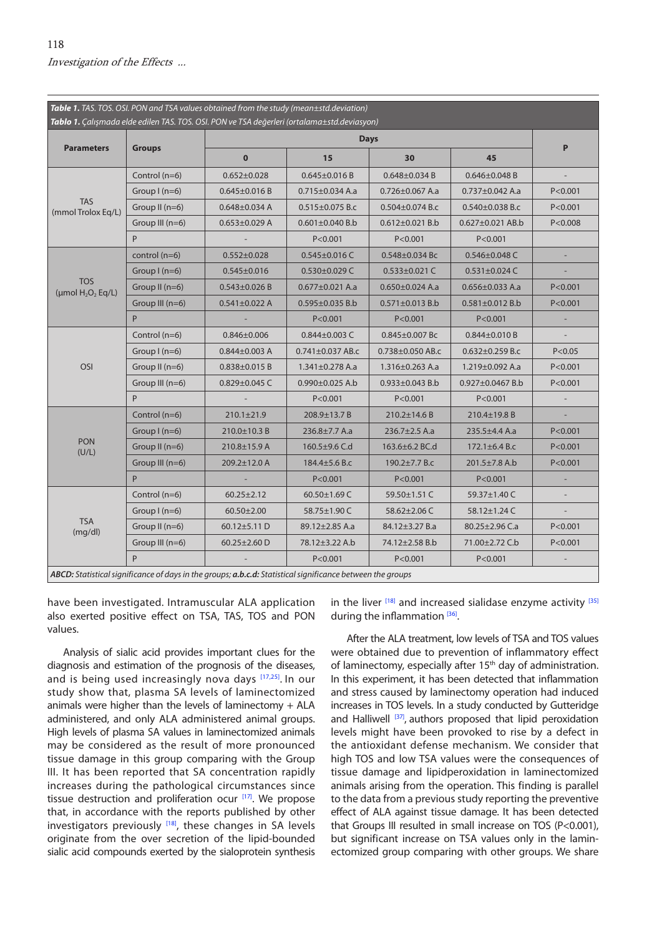<span id="page-3-0"></span>

| Table 1. TAS. TOS. OSI. PON and TSA values obtained from the study (mean±std.deviation)<br>Tablo 1. Çalışmada elde edilen TAS. TOS. OSI. PON ve TSA değerleri (ortalama±std.deviasyon) |                   |                     |                        |                        |                        |           |
|----------------------------------------------------------------------------------------------------------------------------------------------------------------------------------------|-------------------|---------------------|------------------------|------------------------|------------------------|-----------|
| <b>Parameters</b>                                                                                                                                                                      | <b>Groups</b>     | <b>Days</b>         |                        |                        |                        |           |
|                                                                                                                                                                                        |                   | $\mathbf 0$         | 15                     | 30                     | 45                     | P         |
| <b>TAS</b><br>(mmol Trolox Eq/L)                                                                                                                                                       | Control (n=6)     | $0.652 \pm 0.028$   | $0.645 \pm 0.016 B$    | $0.648 \pm 0.034 B$    | $0.646 \pm 0.048$ B    |           |
|                                                                                                                                                                                        | Group $I(n=6)$    | $0.645 \pm 0.016 B$ | $0.715 \pm 0.034$ A.a  | $0.726 \pm 0.067$ A.a  | $0.737 \pm 0.042$ A.a  | P < 0.001 |
|                                                                                                                                                                                        | Group II $(n=6)$  | $0.648 \pm 0.034$ A | $0.515 \pm 0.075$ B.c  | $0.504 \pm 0.074$ B.c  | $0.540 \pm 0.038$ B.c  | P < 0.001 |
|                                                                                                                                                                                        | Group III (n=6)   | $0.653 \pm 0.029$ A | $0.601 \pm 0.040$ B.b  | $0.612 \pm 0.021$ B.b  | $0.627 \pm 0.021$ AB.b | P < 0.008 |
|                                                                                                                                                                                        | P                 |                     | P < 0.001              | P < 0.001              | P < 0.001              |           |
| <b>TOS</b><br>(µmol $H_2O_2$ Eq/L)                                                                                                                                                     | control $(n=6)$   | $0.552 \pm 0.028$   | $0.545 \pm 0.016$ C    | $0.548 \pm 0.034$ Bc   | $0.546 \pm 0.048$ C    |           |
|                                                                                                                                                                                        | Group $I(n=6)$    | $0.545 \pm 0.016$   | $0.530 \pm 0.029$ C    | $0.533 \pm 0.021$ C    | $0.531 \pm 0.024$ C    |           |
|                                                                                                                                                                                        | Group II $(n=6)$  | $0.543 \pm 0.026 B$ | $0.677 \pm 0.021$ A.a  | $0.650 \pm 0.024$ A.a  | $0.656 \pm 0.033$ A.a  | P < 0.001 |
|                                                                                                                                                                                        | Group III (n=6)   | $0.541 \pm 0.022$ A | $0.595 \pm 0.035$ B.b  | $0.571 \pm 0.013$ B.b  | $0.581 \pm 0.012$ B.b  | P < 0.001 |
|                                                                                                                                                                                        | P                 |                     | P < 0.001              | P < 0.001              | P < 0.001              |           |
| <b>OSI</b>                                                                                                                                                                             | Control (n=6)     | $0.846 \pm 0.006$   | $0.844 \pm 0.003$ C    | $0.845 \pm 0.007$ Bc   | $0.844 \pm 0.010 B$    |           |
|                                                                                                                                                                                        | Group $l(n=6)$    | $0.844 \pm 0.003$ A | $0.741 \pm 0.037$ AB.c | $0.738 \pm 0.050$ AB.c | $0.632 \pm 0.259$ B.c  | P < 0.05  |
|                                                                                                                                                                                        | Group II $(n=6)$  | $0.838 \pm 0.015 B$ | $1.341 \pm 0.278$ A.a  | $1.316 \pm 0.263$ A.a  | $1.219 \pm 0.092$ A.a  | P < 0.001 |
|                                                                                                                                                                                        | Group III (n=6)   | $0.829 \pm 0.045$ C | $0.990 \pm 0.025$ A.b  | $0.933 \pm 0.043$ B.b  | $0.927 \pm 0.0467$ B.b | P < 0.001 |
|                                                                                                                                                                                        | P                 |                     | P < 0.001              | P < 0.001              | P < 0.001              |           |
| <b>PON</b><br>(U/L)                                                                                                                                                                    | Control $(n=6)$   | $210.1 \pm 21.9$    | 208.9±13.7 B           | $210.2 \pm 14.6 B$     | 210.4±19.8 B           |           |
|                                                                                                                                                                                        | Group $I(n=6)$    | 210.0±10.3 B        | $236.8 \pm 7.7$ A.a    | $236.7 \pm 2.5$ A.a    | $235.5 \pm 4.4$ A.a    | P < 0.001 |
|                                                                                                                                                                                        | Group II $(n=6)$  | $210.8 \pm 15.9$ A  | 160.5±9.6 C.d          | 163.6±6.2 BC.d         | 172.1 $\pm$ 6.4 B.c    | P < 0.001 |
|                                                                                                                                                                                        | Group III $(n=6)$ | 209.2±12.0 A        | 184.4±5.6 B.c          | 190.2±7.7 B.c          | 201.5±7.8 A.b          | P < 0.001 |
|                                                                                                                                                                                        | P                 |                     | P < 0.001              | P < 0.001              | P < 0.001              |           |
| <b>TSA</b><br>(mg/dl)                                                                                                                                                                  | Control (n=6)     | $60.25 \pm 2.12$    | 60.50±1.69 C           | 59.50±1.51 C           | 59.37±1.40 C           |           |
|                                                                                                                                                                                        | Group $I(n=6)$    | $60.50 \pm 2.00$    | 58.75±1.90 C           | 58.62±2.06 C           | 58.12±1.24 C           |           |
|                                                                                                                                                                                        | Group II $(n=6)$  | 60.12 $\pm$ 5.11 D  | 89.12±2.85 A.a         | 84.12±3.27 B.a         | 80.25 $\pm$ 2.96 C.a   | P < 0.001 |
|                                                                                                                                                                                        | Group III $(n=6)$ | 60.25 $\pm$ 2.60 D  | 78.12±3.22 A.b         | 74.12±2.58 B.b         | 71.00±2.72 C.b         | P < 0.001 |
|                                                                                                                                                                                        | P                 |                     | P < 0.001              | P < 0.001              | P < 0.001              |           |
| ABCD: Statistical significance of days in the groups; a.b.c.d: Statistical significance between the groups                                                                             |                   |                     |                        |                        |                        |           |

have been investigated. Intramuscular ALA application also exerted positive effect on TSA, TAS, TOS and PON values.

Analysis of sialic acid provides important clues for the diagnosis and estimation of the prognosis of the diseases, and is being used increasingly nova days [\[17](#page-4-0),[25](#page-5-0)]. In our study show that, plasma SA levels of laminectomized animals were higher than the levels of laminectomy + ALA administered, and only ALA administered animal groups. High levels of plasma SA values in laminectomized animals may be considered as the result of more pronounced tissue damage in this group comparing with the Group III. It has been reported that SA concentration rapidly increases during the pathological circumstances since tissue destruction and proliferation ocur  $[17]$  $[17]$ . We propose that, in accordance with the reports published by other investigators previously  $[18]$ , these changes in SA levels originate from the over secretion of the lipid-bounded sialic acid compounds exerted by the sialoprotein synthesis in the liver  $[18]$  and increased sialidase enzyme activity  $[35]$ during the inflammation [\[36\].](#page-5-0)

After the ALA treatment, low levels of TSA and TOS values were obtained due to prevention of inflammatory effect of laminectomy, especially after 15<sup>th</sup> day of administration. In this experiment, it has been detected that inflammation and stress caused by laminectomy operation had induced increases in TOS levels. In a study conducted by Gutteridge and Halliwel[l \[37\],](#page-5-0) authors proposed that lipid peroxidation levels might have been provoked to rise by a defect in the antioxidant defense mechanism. We consider that high TOS and low TSA values were the consequences of tissue damage and lipidperoxidation in laminectomized animals arising from the operation. This finding is parallel to the data from a previous study reporting the preventive effect of ALA against tissue damage. It has been detected that Groups III resulted in small increase on TOS (P<0.001), but significant increase on TSA values only in the laminectomized group comparing with other groups. We share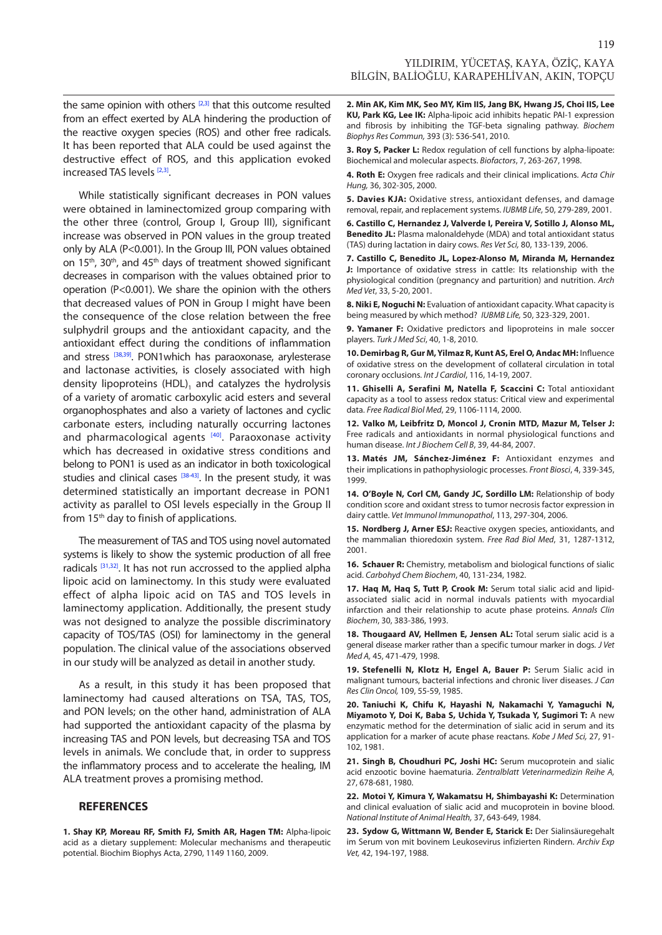119

<span id="page-4-0"></span>the same opinion with others  $[2,3]$  that this outcome resulted from an effect exerted by ALA hindering the production of the reactive oxygen species (ROS) and other free radicals. It has been reported that ALA could be used against the destructive effect of ROS, and this application evoked increased TAS levels [2,3].

While statistically significant decreases in PON values were obtained in laminectomized group comparing with the other three (control, Group I, Group III), significant increase was observed in PON values in the group treated only by ALA (P<0.001). In the Group III, PON values obtained on 15<sup>th</sup>, 30<sup>th</sup>, and 45<sup>th</sup> days of treatment showed significant decreases in comparison with the values obtained prior to operation (P<0.001). We share the opinion with the others that decreased values of PON in Group I might have been the consequence of the close relation between the free sulphydril groups and the antioxidant capacity, and the antioxidant effect during the conditions of inflammation and stress [\[38,39\]](#page-5-0). PON1which has paraoxonase, arylesterase and lactonase activities, is closely associated with high density lipoproteins (HDL), and catalyzes the hydrolysis of a variety of aromatic carboxylic acid esters and several organophosphates and also a variety of lactones and cyclic carbonate esters, including naturally occurring lactones and pharmacological agents [\[40\].](#page-5-0) Paraoxonase activity which has decreased in oxidative stress conditions and belong to PON1 is used as an indicator in both toxicological studies and clinical cases  $[38-43]$ . In the present study, it was determined statistically an important decrease in PON1 activity as parallel to OSI levels especially in the Group II from 15<sup>th</sup> day to finish of applications.

The measurement of TAS and TOS using novel automated systems is likely to show the systemic production of all free radicals [\[31,32\]](#page-5-0). It has not run accrossed to the applied alpha lipoic acid on laminectomy. In this study were evaluated effect of alpha lipoic acid on TAS and TOS levels in laminectomy application. Additionally, the present study was not designed to analyze the possible discriminatory capacity of TOS/TAS (OSI) for laminectomy in the general population. The clinical value of the associations observed in our study will be analyzed as detail in another study.

As a result, in this study it has been proposed that laminectomy had caused alterations on TSA, TAS, TOS, and PON levels; on the other hand, administration of ALA had supported the antioxidant capacity of the plasma by increasing TAS and PON levels, but decreasing TSA and TOS levels in animals. We conclude that, in order to suppress the inflammatory process and to accelerate the healing, IM ALA treatment proves a promising method.

#### **REFERENCES**

**1. Shay KP, Moreau RF, Smith FJ, Smith AR, Hagen TM:** Alpha-lipoic acid as a dietary supplement: Molecular mechanisms and therapeutic potential. Biochim Biophys Acta, 2790, 1149 1160, 2009.

**2. Min AK, Kim MK, Seo MY, Kim IIS, Jang BK, Hwang JS, Choi IIS, Lee KU, Park KG, Lee IK:** Alpha-lipoic acid inhibits hepatic PAI-1 expression and fibrosis by inhibiting the TGF-beta signaling pathway. *Biochem Biophys Res Commun,* 393 (3): 536-541, 2010.

**3. Roy S, Packer L:** Redox regulation of cell functions by alpha-lipoate: Biochemical and molecular aspects. *Biofactors*, 7, 263-267, 1998.

**4. Roth E:** Oxygen free radicals and their clinical implications. *Acta Chir Hung,* 36, 302-305, 2000.

**5. Davies KJA:** Oxidative stress, antioxidant defenses, and damage removal, repair, and replacement systems. *IUBMB Life*, 50, 279-289, 2001.

**6. Castillo C, Hernandez J, Valverde I, Pereira V, Sotillo J, Alonso ML, Benedito JL:** Plasma malonaldehyde (MDA) and total antioxidant status (TAS) during lactation in dairy cows. *Res Vet Sci,* 80, 133-139, 2006.

**7. Castillo C, Benedito JL, Lopez-Alonso M, Miranda M, Hernandez J:** Importance of oxidative stress in cattle: Its relationship with the physiological condition (pregnancy and parturition) and nutrition. *Arch Med Vet*, 33, 5-20, 2001.

**8. Niki E, Noguchi N:** Evaluation of antioxidant capacity. What capacity is being measured by which method? *IUBMB Life,* 50, 323-329, 2001.

**9. Yamaner F:** Oxidative predictors and lipoproteins in male soccer players. *Turk J Med Sci*, 40, 1-8, 2010.

**10. Demirbag R, Gur M, Yilmaz R, Kunt AS, Erel O, Andac MH:** Influence of oxidative stress on the development of collateral circulation in total coronary occlusions. *Int J Cardiol*, 116, 14-19, 2007.

**11. Ghiselli A, Serafini M, Natella F, Scaccini C:** Total antioxidant capacity as a tool to assess redox status: Critical view and experimental data. *Free Radical Biol Med*, 29, 1106-1114, 2000.

**12. Valko M, Leibfritz D, Moncol J, Cronin MTD, Mazur M, Telser J:** Free radicals and antioxidants in normal physiological functions and human disease. *Int J Biochem Cell B*, 39, 44-84, 2007.

**13. Matés JM, Sánchez-Jiménez F:** Antioxidant enzymes and their implications in pathophysiologic processes. *Front Biosci*, 4, 339-345, 1999.

**14. O'Boyle N, Corl CM, Gandy JC, Sordillo LM:** Relationship of body condition score and oxidant stress to tumor necrosis factor expression in dairy cattle. *Vet Immunol Immunopathol*, 113, 297-304, 2006.

**15. Nordberg J, Arner ESJ:** Reactive oxygen species, antioxidants, and the mammalian thioredoxin system. *Free Rad Biol Med*, 31, 1287-1312, 2001.

**16. Schauer R:** Chemistry, metabolism and biological functions of sialic acid. *Carbohyd Chem Biochem*, 40, 131-234, 1982.

**17. Haq M, Haq S, Tutt P, Crook M:** Serum total sialic acid and lipidassociated sialic acid in normal induvals patients with myocardial infarction and their relationship to acute phase proteins. *Annals Clin Biochem*, 30, 383-386, 1993.

**18. Thougaard AV, Hellmen E, Jensen AL:** Total serum sialic acid is a general disease marker rather than a specific tumour marker in dogs. *J Vet Med A,* 45, 471-479, 1998.

**19. Stefenelli N, Klotz H, Engel A, Bauer P:** Serum Sialic acid in malignant tumours, bacterial infections and chronic liver diseases. *J Can Res Clin Oncol,* 109, 55-59, 1985.

**20. Taniuchi K, Chifu K, Hayashi N, Nakamachi Y, Yamaguchi N, Miyamoto Y, Doi K, Baba S, Uchida Y, Tsukada Y, Sugimori T:** A new enzymatic method for the determination of sialic acid in serum and its application for a marker of acute phase reactans. *Kobe J Med Sci,* 27, 91- 102, 1981.

**21. Singh B, Choudhuri PC, Joshi HC:** Serum mucoprotein and sialic acid enzootic bovine haematuria. *Zentralblatt Veterinarmedizin Reihe A,* 27, 678-681, 1980.

**22. Motoi Y, Kimura Y, Wakamatsu H, Shimbayashi K:** Determination and clinical evaluation of sialic acid and mucoprotein in bovine blood. *National Institute of Animal Health,* 37, 643-649, 1984.

**23. Sydow G, Wittmann W, Bender E, Starick E:** Der Sialinsäuregehalt im Serum von mit bovinem Leukosevirus infizierten Rindern. *Archiv Exp Vet,* 42, 194-197, 1988.